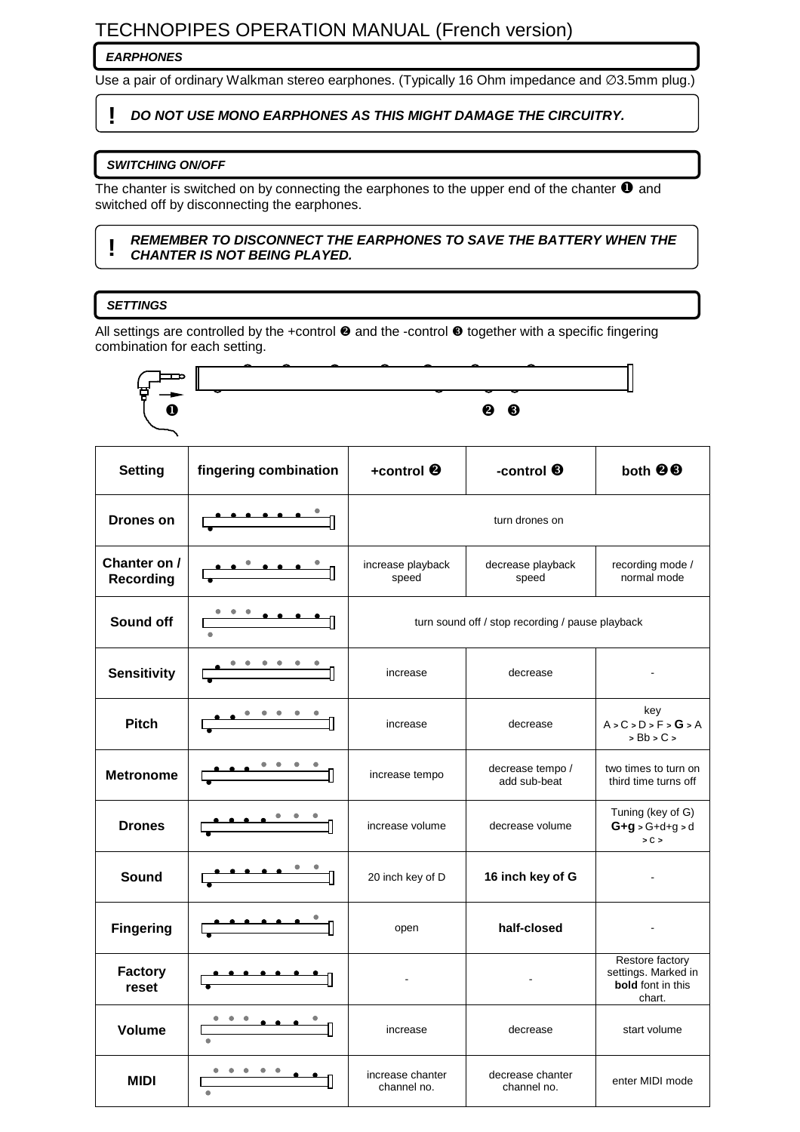# TECHNOPIPES OPERATION MANUAL (French version)

# **EARPHONES**

Use a pair of ordinary Walkman stereo earphones. (Typically 16 Ohm impedance and ∅3.5mm plug.)

# **! DO NOT USE MONO EARPHONES AS THIS MIGHT DAMAGE THE CIRCUITRY.**

# **SWITCHING ON/OFF**

The chanter is switched on by connecting the earphones to the upper end of the chanter  $\bullet$  and switched off by disconnecting the earphones.

#### **! REMEMBER TO DISCONNECT THE EARPHONES TO SAVE THE BATTERY WHEN THE CHANTER IS NOT BEING PLAYED.**

# **SETTINGS**

All settings are controlled by the +control  $\bullet$  and the -control  $\bullet$  together with a specific fingering combination for each setting.

|                                  |                               |                                 | ❷<br>❸                                           |                                                                       |
|----------------------------------|-------------------------------|---------------------------------|--------------------------------------------------|-----------------------------------------------------------------------|
| <b>Setting</b>                   | fingering combination         | +control <sup>®</sup>           | -control <sup>6</sup>                            | both <sup>@</sup>                                                     |
| <b>Drones on</b>                 |                               |                                 | turn drones on                                   |                                                                       |
| Chanter on /<br><b>Recording</b> |                               | increase playback<br>speed      | decrease playback<br>speed                       | recording mode /<br>normal mode                                       |
| Sound off                        |                               |                                 | turn sound off / stop recording / pause playback |                                                                       |
| <b>Sensitivity</b>               |                               | increase                        | decrease                                         |                                                                       |
| <b>Pitch</b>                     |                               | increase                        | decrease                                         | key<br>A > C > D > F > G > A<br>$>$ Bb $>$ C $>$                      |
| <b>Metronome</b>                 |                               | increase tempo                  | decrease tempo /<br>add sub-beat                 | two times to turn on<br>third time turns off                          |
| <b>Drones</b>                    |                               | increase volume                 | decrease volume                                  | Tuning (key of G)<br>$G+g > G+d+g > d$<br>> C >                       |
| Sound                            |                               | 20 inch key of D                | 16 inch key of G                                 |                                                                       |
| <b>Fingering</b>                 |                               | open                            | half-closed                                      |                                                                       |
| <b>Factory</b><br>reset          |                               |                                 |                                                  | Restore factory<br>settings. Marked in<br>bold font in this<br>chart. |
| Volume                           |                               | increase                        | decrease                                         | start volume                                                          |
| <b>MIDI</b>                      | $\bullet$<br>۰<br>۰<br>۰<br>۰ | increase chanter<br>channel no. | decrease chanter<br>channel no.                  | enter MIDI mode                                                       |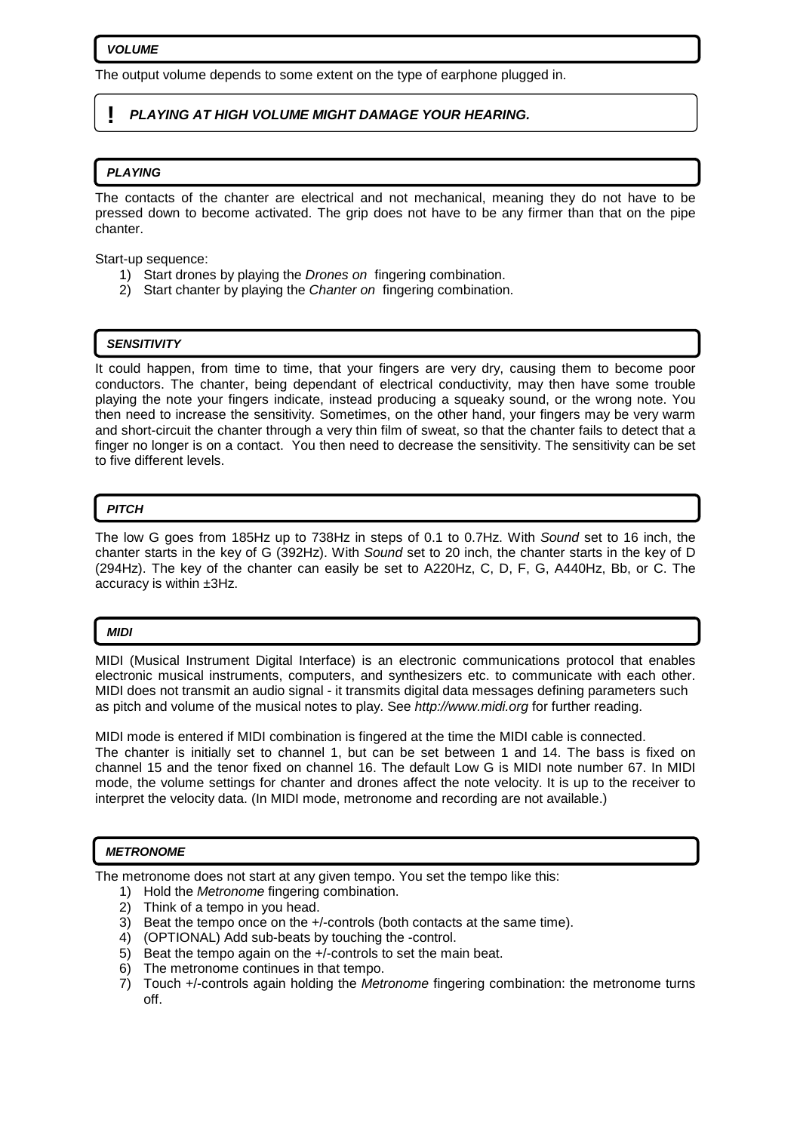#### **VOLUME**

The output volume depends to some extent on the type of earphone plugged in.

### **! PLAYING AT HIGH VOLUME MIGHT DAMAGE YOUR HEARING.**

#### **PLAYING**

The contacts of the chanter are electrical and not mechanical, meaning they do not have to be pressed down to become activated. The grip does not have to be any firmer than that on the pipe chanter.

Start-up sequence:

- 1) Start drones by playing the Drones on fingering combination.
- 2) Start chanter by playing the Chanter on fingering combination.

#### **SENSITIVITY**

It could happen, from time to time, that your fingers are very dry, causing them to become poor conductors. The chanter, being dependant of electrical conductivity, may then have some trouble playing the note your fingers indicate, instead producing a squeaky sound, or the wrong note. You then need to increase the sensitivity. Sometimes, on the other hand, your fingers may be very warm and short-circuit the chanter through a very thin film of sweat, so that the chanter fails to detect that a finger no longer is on a contact. You then need to decrease the sensitivity. The sensitivity can be set to five different levels.

#### **PITCH**

The low G goes from 185Hz up to 738Hz in steps of 0.1 to 0.7Hz. With Sound set to 16 inch, the chanter starts in the key of G (392Hz). With Sound set to 20 inch, the chanter starts in the key of D (294Hz). The key of the chanter can easily be set to A220Hz, C, D, F, G, A440Hz, Bb, or C. The accuracy is within ±3Hz.

#### **MIDI**

MIDI (Musical Instrument Digital Interface) is an electronic communications protocol that enables electronic musical instruments, computers, and synthesizers etc. to communicate with each other. MIDI does not transmit an audio signal - it transmits digital data messages defining parameters such as pitch and volume of the musical notes to play. See http://www.midi.org for further reading.

MIDI mode is entered if MIDI combination is fingered at the time the MIDI cable is connected. The chanter is initially set to channel 1, but can be set between 1 and 14. The bass is fixed on channel 15 and the tenor fixed on channel 16. The default Low G is MIDI note number 67. In MIDI mode, the volume settings for chanter and drones affect the note velocity. It is up to the receiver to interpret the velocity data. (In MIDI mode, metronome and recording are not available.)

### **METRONOME**

The metronome does not start at any given tempo. You set the tempo like this:

- 1) Hold the Metronome fingering combination.
- 2) Think of a tempo in you head.
- 3) Beat the tempo once on the +/-controls (both contacts at the same time).
- 4) (OPTIONAL) Add sub-beats by touching the -control.
- 5) Beat the tempo again on the +/-controls to set the main beat.
- 6) The metronome continues in that tempo.
- 7) Touch +/-controls again holding the Metronome fingering combination: the metronome turns off.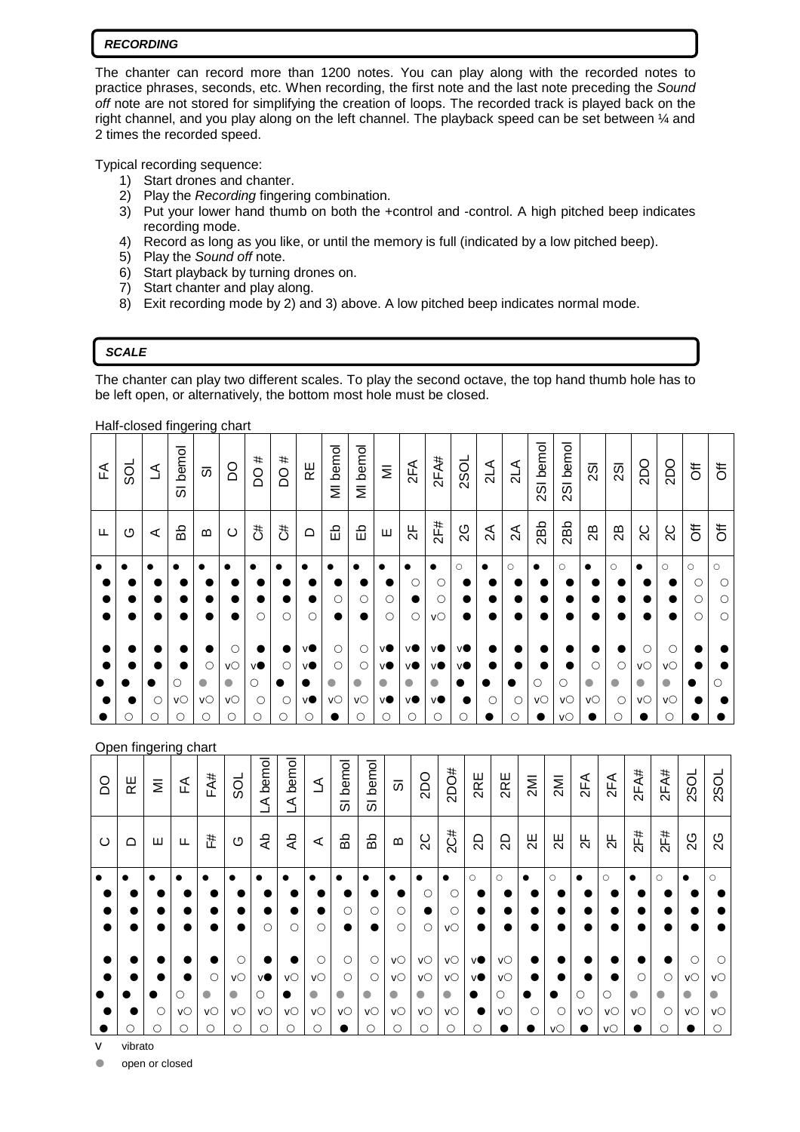#### **RECORDING**

The chanter can record more than 1200 notes. You can play along with the recorded notes to practice phrases, seconds, etc. When recording, the first note and the last note preceding the Sound off note are not stored for simplifying the creation of loops. The recorded track is played back on the right channel, and you play along on the left channel. The playback speed can be set between ¼ and 2 times the recorded speed.

Typical recording sequence:

- 1) Start drones and chanter.
- 2) Play the Recording fingering combination.
- 3) Put your lower hand thumb on both the +control and -control. A high pitched beep indicates recording mode.
- 4) Record as long as you like, or until the memory is full (indicated by a low pitched beep).
- 5) Play the Sound off note.
- 6) Start playback by turning drones on.
- 7) Start chanter and play along.
- 8) Exit recording mode by 2) and 3) above. A low pitched beep indicates normal mode.

# **SCALE**

The chanter can play two different scales. To play the second octave, the top hand thumb hole has to be left open, or alternatively, the bottom most hole must be closed.

Half-closed fingering chart

| $\tilde{H}$ | <b>DSS</b> | ₹      | SI bemol           | 5                                        | <b>DO</b>                             | #<br><b>DO</b>                         | #<br>$\overline{O}$     | 足                                        | MI bemol                        | MI bemol                             | $\overline{\Sigma}$               | 2FA                               | 2FA#                               | <b>2SOL</b>                      | $\frac{1}{2}$ | $\frac{4}{2}$ | 2SI bemol | 2SI bemol     | $\overline{2}$             | $\overline{2}$                  | <b>DO</b>                           | <b>DO</b>                  | $\overline{5}$                           | $\overline{5}$                           |
|-------------|------------|--------|--------------------|------------------------------------------|---------------------------------------|----------------------------------------|-------------------------|------------------------------------------|---------------------------------|--------------------------------------|-----------------------------------|-----------------------------------|------------------------------------|----------------------------------|---------------|---------------|-----------|---------------|----------------------------|---------------------------------|-------------------------------------|----------------------------|------------------------------------------|------------------------------------------|
| Щ           | O          | ⋖      | ЪĞ                 | $\boldsymbol{\underline{\omega}}$        | $\circ$                               | đ                                      | 3                       | $\Omega$                                 | 띵                               | 띵                                    | Ш                                 | $\frac{1}{2}$                     | 2F#                                | 2G                               | 2A            | 2A            | 2Bb       | 2Bb           | 28                         | 28                              | $\overline{c}$                      | $\overline{C}$             | $\overline{5}$                           | $\overline{\sigma}$                      |
| $\bullet$   |            |        | $\bullet$          | $\bullet$                                | $\bullet$<br>$\bullet$                | $\bullet$<br>$\circ$                   | $\bullet$<br>$\circ$    | $\bullet$<br>$\circ$                     | $\bullet$<br>C                  | О                                    | О<br>$\circ$                      | O<br>$\circ$                      | $\bullet$<br>С<br>O<br>$V\bigcirc$ | $\circlearrowright$<br>$\bullet$ | $\bullet$     | $\bigcirc$    | $\bullet$ | $\bigcirc$    | $\bullet$<br>$\bullet$     | $\circlearrowright$             | 0                                   | $\circ$                    | $\circlearrowright$<br>O<br>О<br>$\circ$ | $\circ$<br>$\circ$<br>$\circ$<br>$\circ$ |
|             | $\circ$    | C<br>∩ | О<br>VO<br>$\circ$ | $\circ$<br>$\bullet$<br>VO<br>$\bigcirc$ | C<br>VO<br>$\bullet$<br>VO<br>$\circ$ | vO<br>$\bigcirc$<br>$\circ$<br>$\circ$ | $\circ$<br>C<br>$\circ$ | vO<br>v<br>$\bullet$<br>vO<br>$\bigcirc$ | C<br>$\circ$<br>$\bullet$<br>VO | O<br>$\circ$<br>$\bullet$<br>VO<br>∩ | VO<br>vO<br>0<br>vO<br>$\bigcirc$ | VO<br>V●<br>O<br>VO<br>$\bigcirc$ | VO<br>VO<br>$\bullet$<br>VO<br>О   | v<br>VO<br>$\bullet$             | ۰<br>C        | D<br>C        | О<br>VO   | ∩<br>VO<br>VO | $\circ$<br>$\bullet$<br>VO | $\circ$<br>$\bullet$<br>$\circ$ | O<br>$V\bigcirc$<br>$\bullet$<br>VO | С<br>VO<br>$\bullet$<br>vO |                                          | ( )                                      |

# Open fingering chart

| 8       | 운        | Ξ | 丘   | FA#         | 50          | LA bemol    | bemol<br>Ś | ₹                    | bemol<br>$\overline{\sigma}$ | bemol<br>5 | 5                 | Odz            | 2DO#                   | 2RE       | 2RE            | 2M      | 2M      | 2FA           | 2FA                  | 2FA#      | 2FA#       | <b>2SOL</b> | <b>2SOL</b> |
|---------|----------|---|-----|-------------|-------------|-------------|------------|----------------------|------------------------------|------------|-------------------|----------------|------------------------|-----------|----------------|---------|---------|---------------|----------------------|-----------|------------|-------------|-------------|
| $\circ$ | $\Omega$ | ш | LL. | #           | O           | ٩p          | dĄ         | $\prec$              | Вb                           | ЪĞ         | മ                 | $\overline{C}$ | 2C#                    | SD        | $\overline{5}$ | 뇑       | 뇑<br>2  | $\frac{1}{2}$ | 25                   | 2F#       | 2F#        | 2G          | 2G          |
|         |          |   |     |             | $\bullet$   | ∙           |            |                      |                              |            |                   | $\bullet$      | $\bullet$              | $\circ$   | $\circ$        |         | $\circ$ |               | $\circ$              | $\bullet$ | $\circ$    | $\bullet$   | $\circ$     |
|         |          |   |     |             |             |             |            |                      | O                            | О          | Ó                 | $\circ$        | О<br>$\circ$           | ●         |                |         |         |               |                      |           |            |             |             |
|         |          |   |     |             |             | О           | $\circ$    |                      |                              |            | $\bigcirc$        | $\bigcirc$     | VO                     | $\bullet$ |                |         |         |               |                      |           |            |             |             |
|         |          |   |     |             | О           |             |            | $\circ$              | O                            | О          | $\mathsf{v}\circ$ | $V\bigcirc$    | $V\bigcirc$            | ٧O        | VO             |         |         |               |                      |           |            | $\circ$     | О           |
|         |          |   |     | $\circ$     | $V\bigcirc$ | ٧O          | VO         | $V\bigcirc$          | $\circ$                      | $\circ$    | VO                | $V\bigcirc$    | $\mathsf{V}\mathsf{O}$ | ٧O        | VO             |         |         |               |                      | $\bigcap$ | $\bigcirc$ | VO          | VO          |
|         |          |   | ∩   |             |             | O           |            | $\bullet$            |                              |            | $\bullet$         | $\bullet$      | $\bullet$              |           | О              |         |         | ∩             | $\circ$              | ●         | O          |             |             |
|         |          | O | VO  | $V\bigcirc$ | VO          | $V\bigcirc$ | VO         | $V\circlearrowright$ | $V\bigcirc$                  | VO         | VO                | VO             | VO                     |           | $V\bigcirc$    | $\circ$ | $\circ$ | $V\bigcirc$   | $V\circlearrowright$ | VO        | $\bigcirc$ | VO          | VO          |
|         | О        |   | ∩   | ∩           | ∩           | $\circ$     | $\bigcirc$ | O                    |                              | ∩          | ◯                 | $\bigcirc$     | О                      | ∩         |                |         | VO      |               | VO                   |           | ∩          |             |             |

vibrato

open or closed